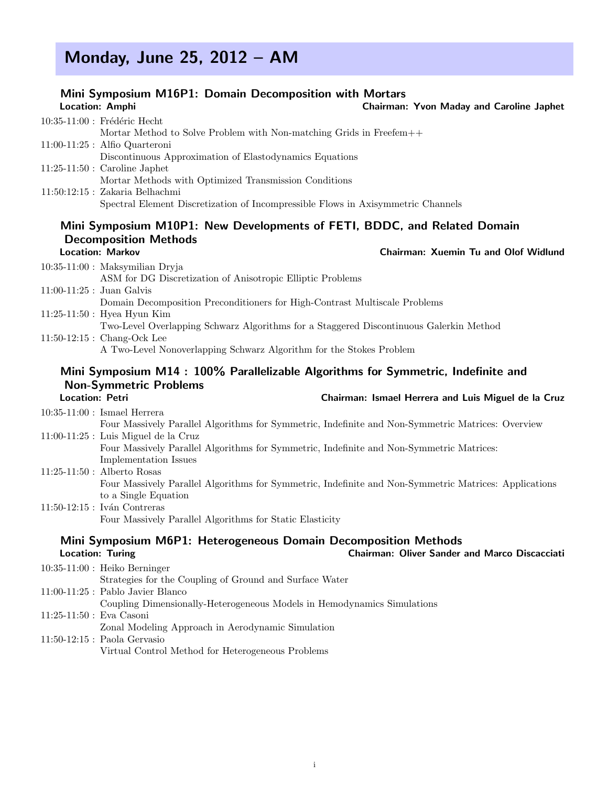# Monday, June 25, 2012 – AM

# Mini Symposium M16P1: Domain Decomposition with Mortars

|                        | Location: Amphi                                                                                                         | <b>Chairman: Yvon Maday and Caroline Japhet</b>     |
|------------------------|-------------------------------------------------------------------------------------------------------------------------|-----------------------------------------------------|
|                        |                                                                                                                         |                                                     |
|                        | 10:35-11:00 : Frédéric Hecht<br>Mortar Method to Solve Problem with Non-matching Grids in Freefem++                     |                                                     |
|                        | $11:00-11:25$ : Alfio Quarteroni                                                                                        |                                                     |
|                        | Discontinuous Approximation of Elastodynamics Equations                                                                 |                                                     |
|                        | $11:25-11:50$ : Caroline Japhet                                                                                         |                                                     |
|                        | Mortar Methods with Optimized Transmission Conditions                                                                   |                                                     |
|                        | $11:50:12:15$ : Zakaria Belhachmi                                                                                       |                                                     |
|                        | Spectral Element Discretization of Incompressible Flows in Axisymmetric Channels                                        |                                                     |
|                        | Mini Symposium M10P1: New Developments of FETI, BDDC, and Related Domain                                                |                                                     |
|                        | <b>Decomposition Methods</b>                                                                                            |                                                     |
|                        | <b>Location: Markov</b>                                                                                                 | Chairman: Xuemin Tu and Olof Widlund                |
|                        | $10:35-11:00$ : Maksymilian Dryja                                                                                       |                                                     |
|                        | ASM for DG Discretization of Anisotropic Elliptic Problems                                                              |                                                     |
|                        | $11:00-11:25$ : Juan Galvis                                                                                             |                                                     |
|                        | Domain Decomposition Preconditioners for High-Contrast Multiscale Problems                                              |                                                     |
|                        | $11:25-11:50$ : Hyea Hyun Kim<br>Two-Level Overlapping Schwarz Algorithms for a Staggered Discontinuous Galerkin Method |                                                     |
|                        | $11:50-12:15$ : Chang-Ock Lee                                                                                           |                                                     |
|                        | A Two-Level Nonoverlapping Schwarz Algorithm for the Stokes Problem                                                     |                                                     |
|                        | Mini Symposium M14: 100% Parallelizable Algorithms for Symmetric, Indefinite and                                        |                                                     |
|                        | <b>Non-Symmetric Problems</b>                                                                                           |                                                     |
| <b>Location: Petri</b> |                                                                                                                         | Chairman: Ismael Herrera and Luis Miguel de la Cruz |
|                        | $10:35-11:00$ : Ismael Herrera                                                                                          |                                                     |
|                        | Four Massively Parallel Algorithms for Symmetric, Indefinite and Non-Symmetric Matrices: Overview                       |                                                     |
|                        | $11:00-11:25$ : Luis Miguel de la Cruz                                                                                  |                                                     |
|                        | Four Massively Parallel Algorithms for Symmetric, Indefinite and Non-Symmetric Matrices:                                |                                                     |
|                        | Implementation Issues                                                                                                   |                                                     |
|                        | $11:25-11:50$ : Alberto Rosas                                                                                           |                                                     |
|                        | Four Massively Parallel Algorithms for Symmetric, Indefinite and Non-Symmetric Matrices: Applications                   |                                                     |
|                        | to a Single Equation                                                                                                    |                                                     |
|                        | $11.50$ $19.15$ $\cdot$ Jusp Contreges                                                                                  |                                                     |

11:50-12:15 : Iván Contreras Four Massively Parallel Algorithms for Static Elasticity

## Mini Symposium M6P1: Heterogeneous Domain Decomposition Methods<br>Chairman: Oliver Sander Chairman: Oliver Sander and Marco Discacciati

|                          | $10:35-11:00$ : Heiko Berninger                                         |
|--------------------------|-------------------------------------------------------------------------|
|                          | Strategies for the Coupling of Ground and Surface Water                 |
|                          | 11:00-11:25 : Pablo Javier Blanco                                       |
|                          | Coupling Dimensionally-Heterogeneous Models in Hemodynamics Simulations |
| 11:25-11:50 : Eva Casoni |                                                                         |
|                          | Zonal Modeling Approach in Aerodynamic Simulation                       |
|                          | 11:50-12:15 : Paola Gervasio                                            |
|                          | Virtual Control Method for Heterogeneous Problems                       |
|                          |                                                                         |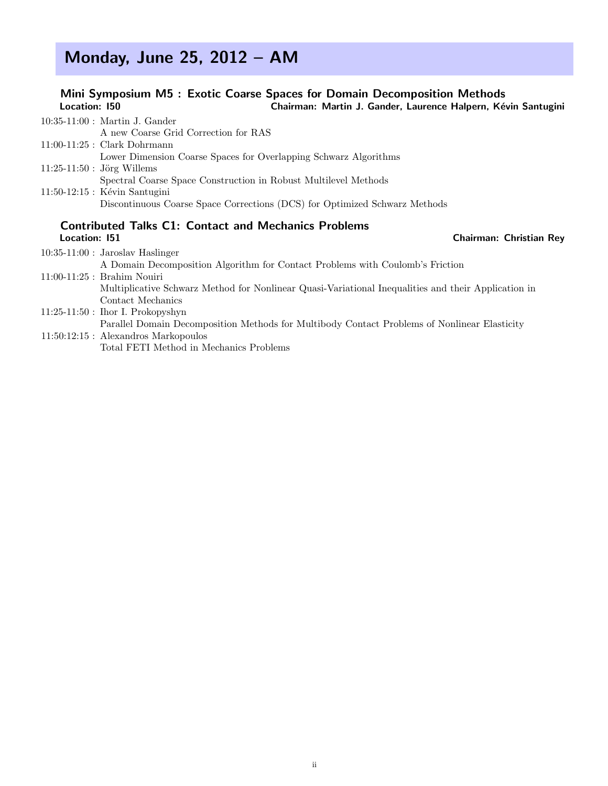# Monday, June 25, 2012 – AM

### Mini Symposium M5 : Exotic Coarse Spaces for Domain Decomposition Methods<br>Location: 150 Chairman: Martin J. Gander, Laurence Halpern, Ké Chairman: Martin J. Gander, Laurence Halpern, Kévin Santugini

| $10:35-11:00$ : Martin J. Gander                                           |  |  |
|----------------------------------------------------------------------------|--|--|
| A new Coarse Grid Correction for RAS                                       |  |  |
| $11:00-11:25$ : Clark Dohrmann                                             |  |  |
| Lower Dimension Coarse Spaces for Overlapping Schwarz Algorithms           |  |  |
| $11:25-11:50$ : Jörg Willems                                               |  |  |
| Spectral Coarse Space Construction in Robust Multilevel Methods            |  |  |
| $11:50-12:15$ : Kévin Santugini                                            |  |  |
| Discontinuous Coarse Space Corrections (DCS) for Optimized Schwarz Methods |  |  |
| <b>Contributed Talks C1: Contact and Mechanics Problems</b>                |  |  |

### Location: I51 Chairman: Christian Rey 10:35-11:00 : Jaroslav Haslinger A Domain Decomposition Algorithm for Contact Problems with Coulomb's Friction 11:00-11:25 : Brahim Nouiri Multiplicative Schwarz Method for Nonlinear Quasi-Variational Inequalities and their Application in Contact Mechanics 11:25-11:50 : Ihor I. Prokopyshyn Parallel Domain Decomposition Methods for Multibody Contact Problems of Nonlinear Elasticity 11:50:12:15 : Alexandros Markopoulos Total FETI Method in Mechanics Problems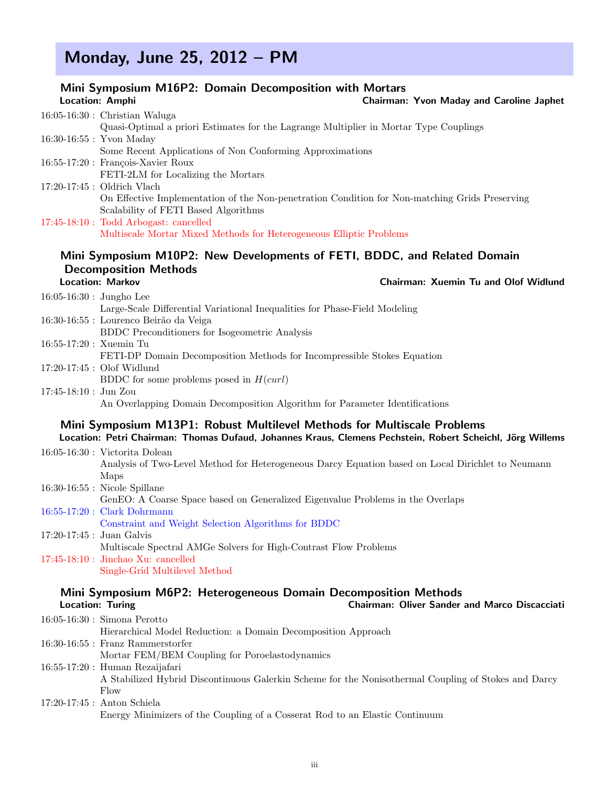# Monday, June 25, 2012 – PM

|                              | Mini Symposium M16P2: Domain Decomposition with Mortars                                                   |
|------------------------------|-----------------------------------------------------------------------------------------------------------|
|                              | Location: Amphi<br>Chairman: Yvon Maday and Caroline Japhet                                               |
|                              | $16:05-16:30$ : Christian Waluga                                                                          |
|                              | Quasi-Optimal a priori Estimates for the Lagrange Multiplier in Mortar Type Couplings                     |
|                              | 16:30-16:55 : Yvon Maday                                                                                  |
|                              | Some Recent Applications of Non Conforming Approximations                                                 |
|                              | 16:55-17:20 : François-Xavier Roux                                                                        |
|                              | FETI-2LM for Localizing the Mortars                                                                       |
|                              | 17:20-17:45 : Oldřich Vlach                                                                               |
|                              | On Effective Implementation of the Non-penetration Condition for Non-matching Grids Preserving            |
|                              | Scalability of FETI Based Algorithms                                                                      |
|                              | 17:45-18:10 : Todd Arbogast: cancelled                                                                    |
|                              | Multiscale Mortar Mixed Methods for Heterogeneous Elliptic Problems                                       |
|                              |                                                                                                           |
|                              | Mini Symposium M10P2: New Developments of FETI, BDDC, and Related Domain                                  |
|                              | <b>Decomposition Methods</b>                                                                              |
|                              | <b>Location: Markov</b><br>Chairman: Xuemin Tu and Olof Widlund                                           |
| $16:05 - 16:30$ : Jungho Lee |                                                                                                           |
|                              | Large-Scale Differential Variational Inequalities for Phase-Field Modeling                                |
|                              | 16:30-16:55 : Lourenco Beirão da Veiga                                                                    |
|                              | <b>BDDC</b> Preconditioners for Isogeometric Analysis                                                     |
| $16:55-17:20$ : Xuemin Tu    |                                                                                                           |
|                              | FETI-DP Domain Decomposition Methods for Incompressible Stokes Equation                                   |
|                              | 17:20-17:45 : Olof Widlund                                                                                |
|                              | BDDC for some problems posed in $H(curl)$                                                                 |
| $17:45-18:10$ : Jun Zou      |                                                                                                           |
|                              | An Overlapping Domain Decomposition Algorithm for Parameter Identifications                               |
|                              | Mini Symposium M13P1: Robust Multilevel Methods for Multiscale Problems                                   |
|                              | Location: Petri Chairman: Thomas Dufaud, Johannes Kraus, Clemens Pechstein, Robert Scheichl, Jörg Willems |
|                              | $16:05-16:30$ : Victorita Dolean                                                                          |
|                              | Analysis of Two-Level Method for Heterogeneous Darcy Equation based on Local Dirichlet to Neumann         |
|                              | Maps                                                                                                      |
|                              | $16:30-16:55$ : Nicole Spillane                                                                           |
|                              | GenEO: A Coarse Space based on Generalized Eigenvalue Problems in the Overlaps                            |
|                              | 16:55-17:20 : Clark Dohrmann                                                                              |
|                              | Constraint and Weight Selection Algorithms for BDDC                                                       |
|                              | 17:20-17:45 : Juan Galvis                                                                                 |
|                              | Multiscale Spectral AMGe Solvers for High-Contrast Flow Problems                                          |
|                              | $17:45-18:10$ : Jinchao Xu: cancelled                                                                     |
|                              | Single-Grid Multilevel Method                                                                             |
|                              |                                                                                                           |
|                              | Mini Symposium M6P2: Heterogeneous Domain Decomposition Methods                                           |
|                              | Chairman: Oliver Sander and Marco Discacciati<br><b>Location: Turing</b>                                  |
|                              | $16:05-16:30$ : Simona Perotto                                                                            |
|                              | Hierarchical Model Reduction: a Domain Decomposition Approach                                             |
|                              | $16:30-16:55$ : Franz Rammerstorfer                                                                       |
|                              | Mortar FEM/BEM Coupling for Poroelastodynamics                                                            |

- 16:55-17:20 : Human Rezaijafari
	- A Stabilized Hybrid Discontinuous Galerkin Scheme for the Nonisothermal Coupling of Stokes and Darcy Flow
- 17:20-17:45 : Anton Schiela Energy Minimizers of the Coupling of a Cosserat Rod to an Elastic Continuum